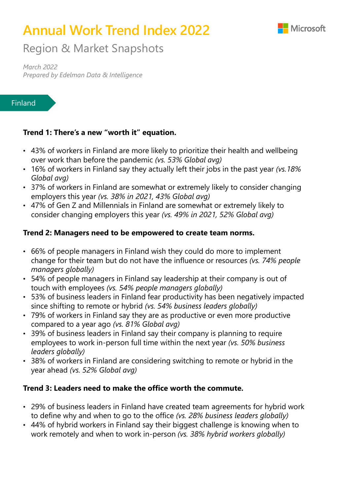

# **Annual Work Trend Index 2022**

Region & Market Snapshots

*March 2022 Prepared by Edelman Data & Intelligence* 

#### Finland

#### **Trend 1: There's a new "worth it" equation.**

- 43% of workers in Finland are more likely to prioritize their health and wellbeing over work than before the pandemic *(vs. 53% Global avg)*
- 16% of workers in Finland say they actually left their jobs in the past year *(vs.18% Global avg)*
- 37% of workers in Finland are somewhat or extremely likely to consider changing employers this year *(vs. 38% in 2021, 43% Global avg)*
- 47% of Gen Z and Millennials in Finland are somewhat or extremely likely to consider changing employers this year *(vs. 49% in 2021, 52% Global avg)*

#### **Trend 2: Managers need to be empowered to create team norms.**

- 66% of people managers in Finland wish they could do more to implement change for their team but do not have the influence or resources *(vs. 74% people managers globally)*
- 54% of people managers in Finland say leadership at their company is out of touch with employees *(vs. 54% people managers globally)*
- 53% of business leaders in Finland fear productivity has been negatively impacted since shifting to remote or hybrid *(vs. 54% business leaders globally)*
- 79% of workers in Finland say they are as productive or even more productive compared to a year ago *(vs. 81% Global avg)*
- 39% of business leaders in Finland say their company is planning to require employees to work in-person full time within the next year *(vs. 50% business leaders globally)*
- 38% of workers in Finland are considering switching to remote or hybrid in the year ahead *(vs. 52% Global avg)*

### **Trend 3: Leaders need to make the office worth the commute.**

- 29% of business leaders in Finland have created team agreements for hybrid work to define why and when to go to the office *(vs. 28% business leaders globally)*
- 44% of hybrid workers in Finland say their biggest challenge is knowing when to work remotely and when to work in-person *(vs. 38% hybrid workers globally)*